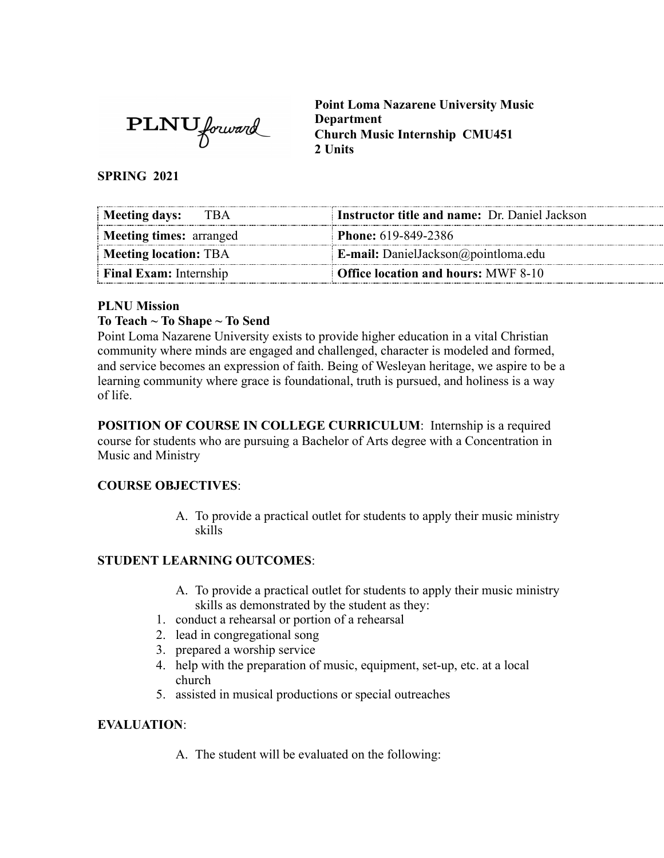**PLNU** forward

**Point Loma Nazarene University Music Department Church Music Internship CMU451 2 Units** 

**SPRING 2021** 

| <b>Meeting days:</b><br>TBA    | <b>Instructor title and name:</b> Dr. Daniel Jackson |
|--------------------------------|------------------------------------------------------|
| <b>Meeting times: arranged</b> | <b>Phone:</b> 619-849-2386                           |
| <b>Meeting location: TBA</b>   | <b>E-mail:</b> DanielJackson@pointloma.edu           |
| <b>Final Exam:</b> Internship  | <b>Office location and hours: MWF 8-10</b>           |

## **PLNU Mission**

## **To Teach ~ To Shape ~ To Send**

Point Loma Nazarene University exists to provide higher education in a vital Christian community where minds are engaged and challenged, character is modeled and formed, and service becomes an expression of faith. Being of Wesleyan heritage, we aspire to be a learning community where grace is foundational, truth is pursued, and holiness is a way of life.

**POSITION OF COURSE IN COLLEGE CURRICULUM:** Internship is a required course for students who are pursuing a Bachelor of Arts degree with a Concentration in Music and Ministry

## **COURSE OBJECTIVES** :

A. To provide a practical outlet for students to apply their music ministry skills

## **STUDENT LEARNING OUTCOMES:**

- A. To provide a practical outlet for students to apply their music ministry skills as demonstrated by the student as they:
- 1. conduct a rehearsal or portion of a rehearsal
- 2. lead in congregational song
- 3. prepared a worship service
- 4. help with the preparation of music, equipment, set-up, etc. at a local church
- 5. assisted in musical productions or special outreaches

## **EVALUATION:**

A. The student will be evaluated on the following: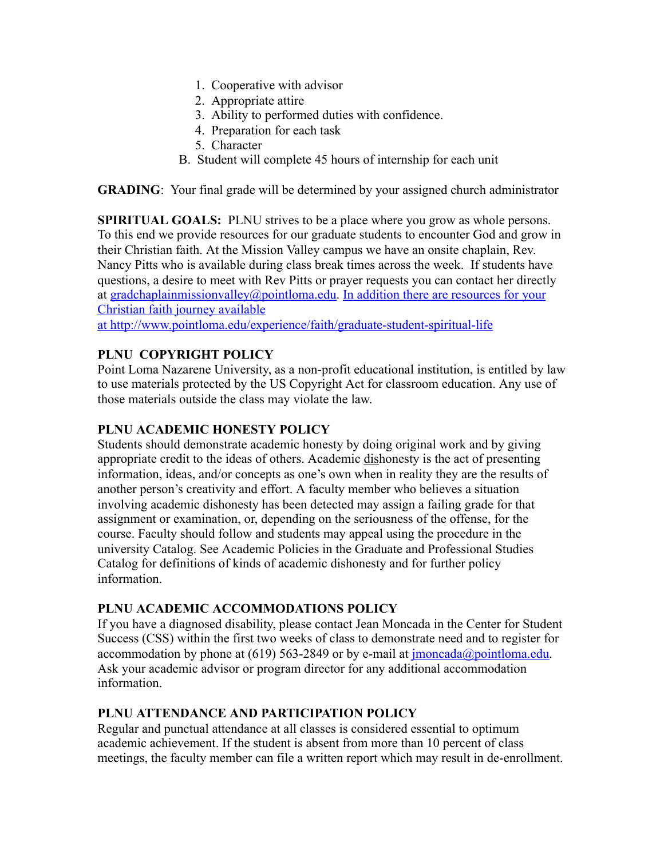- 1. Cooperative with advisor
- 2. Appropriate attire
- 3. Ability to performed duties with confidence.
- 4. Preparation for each task
- 5. Character
- B. Student will complete 45 hours of internship for each unit

**GRADING:** Your final grade will be determined by your assigned church administrator

**SPIRITUAL GOALS:** PLNU strives to be a place where you grow as whole persons. To this end we provide resources for our graduate students to encounter God and grow in their Christian faith. At the Mission Valley campus we have an onsite chaplain, Rev. Nancy Pitts who is available during class break times across the week. If students have questions, a desire to meet with Rev Pitts or prayer requests you can contact her directly at [gradchaplainmissionvalley@pointloma.edu](mailto:gradchaplainmissionvalley@pointloma.edu). In addition there are resources for your Christian faith journey available

at http://www.pointloma.edu/experience/faith/graduate-student-spiritual-life

# **PLNU COPYRIGHT POLICY**

Point Loma Nazarene University, as a non-profit educational institution, is entitled by law to use materials protected by the US Copyright Act for classroom education. Any use of those materials outside the class may violate the law.

## **PLNU ACADEMIC HONESTY POLICY**

Students should demonstrate academic honesty by doing original work and by giving appropriate credit to the ideas of others. Academic dishonesty is the act of presenting information, ideas, and/or concepts as one's own when in reality they are the results of another person's creativity and effort. A faculty member who believes a situation involving academic dishonesty has been detected may assign a failing grade for that assignment or examination, or, depending on the seriousness of the offense, for the course. Faculty should follow and students may appeal using the procedure in the university Catalog. See Academic Policies in the Graduate and Professional Studies Catalog for definitions of kinds of academic dishonesty and for further policy information.

# **PLNU ACADEMIC ACCOMMODATIONS POLICY**

If you have a diagnosed disability, please contact Jean Moncada in the Center for Student Success (CSS) within the first two weeks of class to demonstrate need and to register for accommodation by phone at  $(619)$  563-2849 or by e-mail at [jmoncada@pointloma.edu](mailto:jmoncada@pointloma.edu). Ask your academic advisor or program director for any additional accommodation information.

# **PLNU ATTENDANCE AND PARTICIPATION POLICY**

Regular and punctual attendance at all classes is considered essential to optimum academic achievement. If the student is absent from more than 10 percent of class meetings, the faculty member can file a written report which may result in de-enrollment.